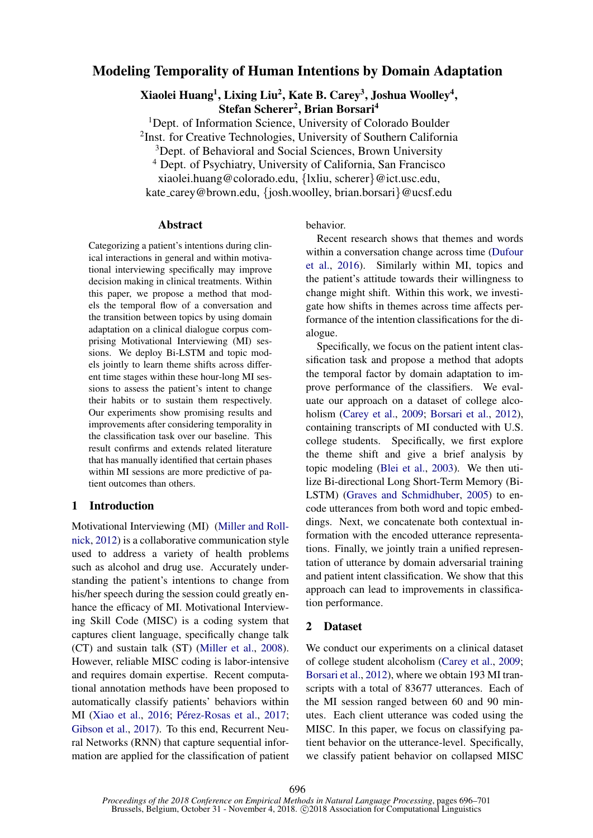# Modeling Temporality of Human Intentions by Domain Adaptation

Xiaolei Huang<sup>1</sup>, Lixing Liu<sup>2</sup>, Kate B. Carey<sup>3</sup>, Joshua Woolley<sup>4</sup>, Stefan Scherer<sup>2</sup>, Brian Borsari<sup>4</sup>

<sup>1</sup>Dept. of Information Science, University of Colorado Boulder <sup>2</sup>Inst. for Creative Technologies, University of Southern California

<sup>3</sup>Dept. of Behavioral and Social Sciences, Brown University

<sup>4</sup> Dept. of Psychiatry, University of California, San Francisco

xiaolei.huang@colorado.edu, {lxliu, scherer}@ict.usc.edu,

kate carey@brown.edu, {josh.woolley, brian.borsari}@ucsf.edu

#### Abstract

Categorizing a patient's intentions during clinical interactions in general and within motivational interviewing specifically may improve decision making in clinical treatments. Within this paper, we propose a method that models the temporal flow of a conversation and the transition between topics by using domain adaptation on a clinical dialogue corpus comprising Motivational Interviewing (MI) sessions. We deploy Bi-LSTM and topic models jointly to learn theme shifts across different time stages within these hour-long MI sessions to assess the patient's intent to change their habits or to sustain them respectively. Our experiments show promising results and improvements after considering temporality in the classification task over our baseline. This result confirms and extends related literature that has manually identified that certain phases within MI sessions are more predictive of patient outcomes than others.

## 1 Introduction

Motivational Interviewing (MI) [\(Miller and Roll](#page-5-0)[nick,](#page-5-0) [2012\)](#page-5-0) is a collaborative communication style used to address a variety of health problems such as alcohol and drug use. Accurately understanding the patient's intentions to change from his/her speech during the session could greatly enhance the efficacy of MI. Motivational Interviewing Skill Code (MISC) is a coding system that captures client language, specifically change talk (CT) and sustain talk (ST) [\(Miller et al.,](#page-5-1) [2008\)](#page-5-1). However, reliable MISC coding is labor-intensive and requires domain expertise. Recent computational annotation methods have been proposed to automatically classify patients' behaviors within MI [\(Xiao et al.,](#page-5-2) [2016;](#page-5-2) Pérez-Rosas et al., [2017;](#page-5-3) [Gibson et al.,](#page-5-4) [2017\)](#page-5-4). To this end, Recurrent Neural Networks (RNN) that capture sequential information are applied for the classification of patient behavior.

Recent research shows that themes and words within a conversation change across time [\(Dufour](#page-5-5) [et al.,](#page-5-5) [2016\)](#page-5-5). Similarly within MI, topics and the patient's attitude towards their willingness to change might shift. Within this work, we investigate how shifts in themes across time affects performance of the intention classifications for the dialogue.

Specifically, we focus on the patient intent classification task and propose a method that adopts the temporal factor by domain adaptation to improve performance of the classifiers. We evaluate our approach on a dataset of college alcoholism [\(Carey et al.,](#page-4-0) [2009;](#page-4-0) [Borsari et al.,](#page-4-1) [2012\)](#page-4-1), containing transcripts of MI conducted with U.S. college students. Specifically, we first explore the theme shift and give a brief analysis by topic modeling [\(Blei et al.,](#page-4-2) [2003\)](#page-4-2). We then utilize Bi-directional Long Short-Term Memory (Bi-LSTM) [\(Graves and Schmidhuber,](#page-5-6) [2005\)](#page-5-6) to encode utterances from both word and topic embeddings. Next, we concatenate both contextual information with the encoded utterance representations. Finally, we jointly train a unified representation of utterance by domain adversarial training and patient intent classification. We show that this approach can lead to improvements in classification performance.

### 2 Dataset

We conduct our experiments on a clinical dataset of college student alcoholism [\(Carey et al.,](#page-4-0) [2009;](#page-4-0) [Borsari et al.,](#page-4-1) [2012\)](#page-4-1), where we obtain 193 MI transcripts with a total of 83677 utterances. Each of the MI session ranged between 60 and 90 minutes. Each client utterance was coded using the MISC. In this paper, we focus on classifying patient behavior on the utterance-level. Specifically, we classify patient behavior on collapsed MISC

696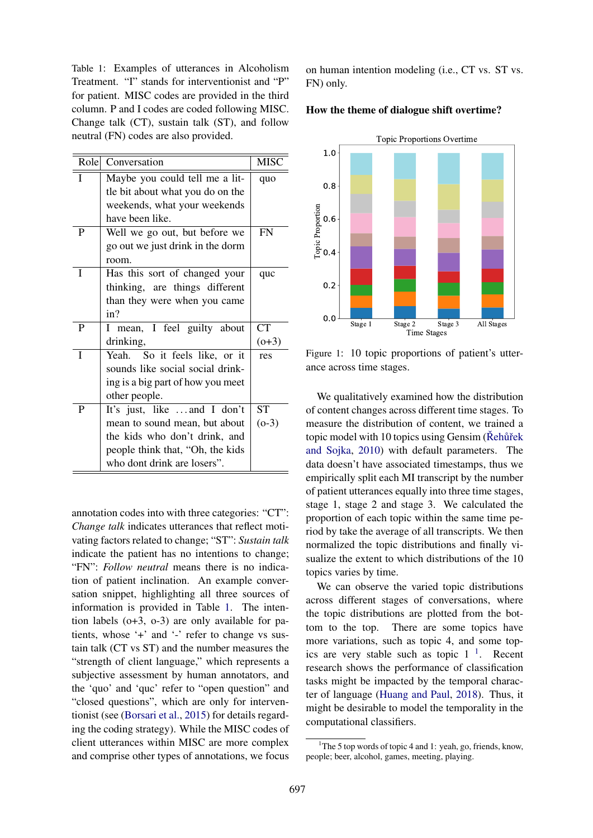<span id="page-1-0"></span>Table 1: Examples of utterances in Alcoholism Treatment. "I" stands for interventionist and "P" for patient. MISC codes are provided in the third column. P and I codes are coded following MISC. Change talk (CT), sustain talk (ST), and follow neutral (FN) codes are also provided.

| Role | Conversation                      | <b>MISC</b> |
|------|-----------------------------------|-------------|
| I    | Maybe you could tell me a lit-    | quo         |
|      | tle bit about what you do on the  |             |
|      | weekends, what your weekends      |             |
|      | have been like.                   |             |
| P    | Well we go out, but before we     | <b>FN</b>   |
|      | go out we just drink in the dorm  |             |
|      | room.                             |             |
| I    | Has this sort of changed your     | quc         |
|      | thinking, are things different    |             |
|      | than they were when you came      |             |
|      | in?                               |             |
| P    | I mean, I feel guilty about       | <b>CT</b>   |
|      | drinking,                         | $(0+3)$     |
| I    | Yeah. So it feels like, or it     | res         |
|      | sounds like social social drink-  |             |
|      | ing is a big part of how you meet |             |
|      | other people.                     |             |
| P    | It's just, like and I don't       | <b>ST</b>   |
|      | mean to sound mean, but about     | $(0-3)$     |
|      | the kids who don't drink, and     |             |
|      | people think that, "Oh, the kids  |             |
|      | who dont drink are losers".       |             |

annotation codes into with three categories: "CT": *Change talk* indicates utterances that reflect motivating factors related to change; "ST": *Sustain talk* indicate the patient has no intentions to change; "FN": *Follow neutral* means there is no indication of patient inclination. An example conversation snippet, highlighting all three sources of information is provided in Table [1.](#page-1-0) The intention labels (o+3, o-3) are only available for patients, whose '+' and '-' refer to change vs sustain talk (CT vs ST) and the number measures the "strength of client language," which represents a subjective assessment by human annotators, and the 'quo' and 'quc' refer to "open question" and "closed questions", which are only for interventionist (see [\(Borsari et al.,](#page-4-3) [2015\)](#page-4-3) for details regarding the coding strategy). While the MISC codes of client utterances within MISC are more complex and comprise other types of annotations, we focus on human intention modeling (i.e., CT vs. ST vs. FN) only.

#### How the theme of dialogue shift overtime?



Figure 1: 10 topic proportions of patient's utterance across time stages.

We qualitatively examined how the distribution of content changes across different time stages. To measure the distribution of content, we trained a topic model with 10 topics using Gensim ( $\check{R}$ ehur̃ek [and Sojka,](#page-5-7) [2010\)](#page-5-7) with default parameters. The data doesn't have associated timestamps, thus we empirically split each MI transcript by the number of patient utterances equally into three time stages, stage 1, stage 2 and stage 3. We calculated the proportion of each topic within the same time period by take the average of all transcripts. We then normalized the topic distributions and finally visualize the extent to which distributions of the 10 topics varies by time.

We can observe the varied topic distributions across different stages of conversations, where the topic distributions are plotted from the bottom to the top. There are some topics have more variations, such as topic 4, and some topics are very stable such as topic  $1<sup>-1</sup>$  $1<sup>-1</sup>$ . Recent research shows the performance of classification tasks might be impacted by the temporal character of language [\(Huang and Paul,](#page-5-8) [2018\)](#page-5-8). Thus, it might be desirable to model the temporality in the computational classifiers.

<span id="page-1-1"></span><sup>&</sup>lt;sup>1</sup>The 5 top words of topic 4 and 1: yeah, go, friends, know, people; beer, alcohol, games, meeting, playing.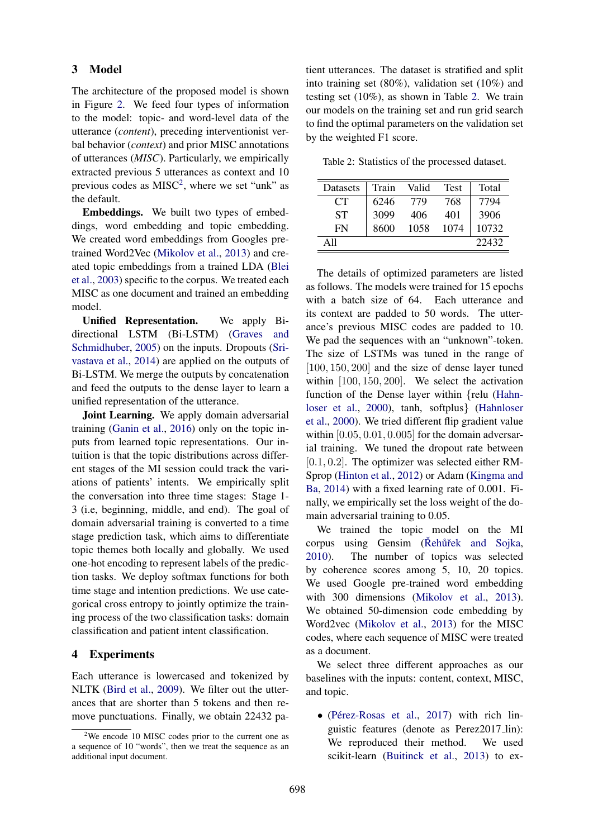#### 3 Model

The architecture of the proposed model is shown in Figure [2.](#page-3-0) We feed four types of information to the model: topic- and word-level data of the utterance (*content*), preceding interventionist verbal behavior (*context*) and prior MISC annotations of utterances (*MISC*). Particularly, we empirically extracted previous 5 utterances as context and 10 previous codes as  $MISC^2$  $MISC^2$ , where we set "unk" as the default.

Embeddings. We built two types of embeddings, word embedding and topic embedding. We created word embeddings from Googles pretrained Word2Vec [\(Mikolov et al.,](#page-5-9) [2013\)](#page-5-9) and created topic embeddings from a trained LDA [\(Blei](#page-4-2) [et al.,](#page-4-2) [2003\)](#page-4-2) specific to the corpus. We treated each MISC as one document and trained an embedding model.

Unified Representation. We apply Bidirectional LSTM (Bi-LSTM) [\(Graves and](#page-5-6) [Schmidhuber,](#page-5-6) [2005\)](#page-5-6) on the inputs. Dropouts [\(Sri](#page-5-10)[vastava et al.,](#page-5-10) [2014\)](#page-5-10) are applied on the outputs of Bi-LSTM. We merge the outputs by concatenation and feed the outputs to the dense layer to learn a unified representation of the utterance.

Joint Learning. We apply domain adversarial training [\(Ganin et al.,](#page-5-11) [2016\)](#page-5-11) only on the topic inputs from learned topic representations. Our intuition is that the topic distributions across different stages of the MI session could track the variations of patients' intents. We empirically split the conversation into three time stages: Stage 1- 3 (i.e, beginning, middle, and end). The goal of domain adversarial training is converted to a time stage prediction task, which aims to differentiate topic themes both locally and globally. We used one-hot encoding to represent labels of the prediction tasks. We deploy softmax functions for both time stage and intention predictions. We use categorical cross entropy to jointly optimize the training process of the two classification tasks: domain classification and patient intent classification.

#### 4 Experiments

Each utterance is lowercased and tokenized by NLTK [\(Bird et al.,](#page-4-4) [2009\)](#page-4-4). We filter out the utterances that are shorter than 5 tokens and then remove punctuations. Finally, we obtain 22432 patient utterances. The dataset is stratified and split into training set (80%), validation set (10%) and testing set (10%), as shown in Table [2.](#page-2-1) We train our models on the training set and run grid search to find the optimal parameters on the validation set by the weighted F1 score.

<span id="page-2-1"></span>Table 2: Statistics of the processed dataset.

| Datasets        | Train | Valid | Test | Total |
|-----------------|-------|-------|------|-------|
| CT <sup>-</sup> | 6246  | 779   | 768  | 7794  |
| SТ              | 3099  | 406   | 401  | 3906  |
| FN              | 8600  | 1058  | 1074 | 10732 |
| A 11            |       |       |      | 22432 |

The details of optimized parameters are listed as follows. The models were trained for 15 epochs with a batch size of 64. Each utterance and its context are padded to 50 words. The utterance's previous MISC codes are padded to 10. We pad the sequences with an "unknown"-token. The size of LSTMs was tuned in the range of [100, 150, 200] and the size of dense layer tuned within [100, 150, 200]. We select the activation function of the Dense layer within {relu [\(Hahn](#page-5-12)[loser et al.,](#page-5-12) [2000\)](#page-5-12), tanh, softplus} [\(Hahnloser](#page-5-12) [et al.,](#page-5-12) [2000\)](#page-5-12). We tried different flip gradient value within  $[0.05, 0.01, 0.005]$  for the domain adversarial training. We tuned the dropout rate between  $[0.1, 0.2]$ . The optimizer was selected either RM-Sprop [\(Hinton et al.,](#page-5-13) [2012\)](#page-5-13) or Adam [\(Kingma and](#page-5-14) [Ba,](#page-5-14) [2014\)](#page-5-14) with a fixed learning rate of 0.001. Finally, we empirically set the loss weight of the domain adversarial training to 0.05.

We trained the topic model on the MI corpus using Gensim (Rehurtek and Sojka, [2010\)](#page-5-7). The number of topics was selected by coherence scores among 5, 10, 20 topics. We used Google pre-trained word embedding with 300 dimensions [\(Mikolov et al.,](#page-5-9) [2013\)](#page-5-9). We obtained 50-dimension code embedding by Word2vec [\(Mikolov et al.,](#page-5-9) [2013\)](#page-5-9) for the MISC codes, where each sequence of MISC were treated as a document.

We select three different approaches as our baselines with the inputs: content, context, MISC, and topic.

• (Pérez-Rosas et al., [2017\)](#page-5-3) with rich linguistic features (denote as Perez2017 lin): We reproduced their method. We used scikit-learn [\(Buitinck et al.,](#page-4-5) [2013\)](#page-4-5) to ex-

<span id="page-2-0"></span> $2$ We encode 10 MISC codes prior to the current one as a sequence of 10 "words", then we treat the sequence as an additional input document.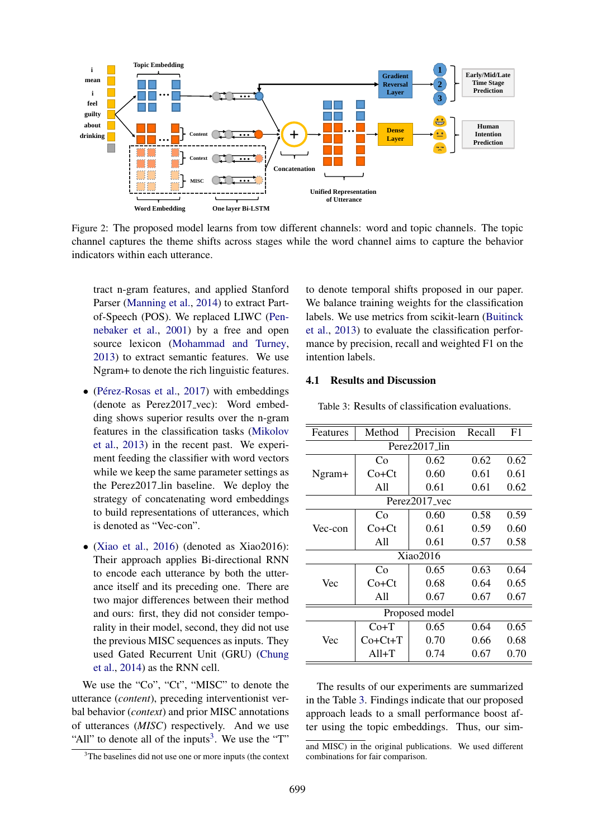<span id="page-3-0"></span>

Figure 2: The proposed model learns from tow different channels: word and topic channels. The topic channel captures the theme shifts across stages while the word channel aims to capture the behavior indicators within each utterance.

tract n-gram features, and applied Stanford Parser [\(Manning et al.,](#page-5-15) [2014\)](#page-5-15) to extract Partof-Speech (POS). We replaced LIWC [\(Pen](#page-5-16)[nebaker et al.,](#page-5-16) [2001\)](#page-5-16) by a free and open source lexicon [\(Mohammad and Turney,](#page-5-17) [2013\)](#page-5-17) to extract semantic features. We use Ngram+ to denote the rich linguistic features.

- $\bullet$  (Pérez-Rosas et al., [2017\)](#page-5-3) with embeddings (denote as Perez2017 vec): Word embedding shows superior results over the n-gram features in the classification tasks [\(Mikolov](#page-5-9) [et al.,](#page-5-9) [2013\)](#page-5-9) in the recent past. We experiment feeding the classifier with word vectors while we keep the same parameter settings as the Perez2017 lin baseline. We deploy the strategy of concatenating word embeddings to build representations of utterances, which is denoted as "Vec-con".
- [\(Xiao et al.,](#page-5-2) [2016\)](#page-5-2) (denoted as Xiao2016): Their approach applies Bi-directional RNN to encode each utterance by both the utterance itself and its preceding one. There are two major differences between their method and ours: first, they did not consider temporality in their model, second, they did not use the previous MISC sequences as inputs. They used Gated Recurrent Unit (GRU) [\(Chung](#page-5-18) [et al.,](#page-5-18) [2014\)](#page-5-18) as the RNN cell.

We use the "Co", "Ct", "MISC" to denote the utterance (*content*), preceding interventionist verbal behavior (*context*) and prior MISC annotations of utterances (*MISC*) respectively. And we use "All" to denote all of the inputs<sup>[3](#page-3-1)</sup>. We use the "T"

to denote temporal shifts proposed in our paper. We balance training weights for the classification labels. We use metrics from scikit-learn [\(Buitinck](#page-4-5) [et al.,](#page-4-5) [2013\)](#page-4-5) to evaluate the classification performance by precision, recall and weighted F1 on the intention labels.

#### 4.1 Results and Discussion

<span id="page-3-2"></span>Table 3: Results of classification evaluations.

| Features       | Method    | Precision<br>Recall |      | F1   |  |  |  |  |
|----------------|-----------|---------------------|------|------|--|--|--|--|
| Perez2017 lin  |           |                     |      |      |  |  |  |  |
|                | Co        | 0.62                | 0.62 | 0.62 |  |  |  |  |
| Ngram+         | Co+Ct     |                     | 0.61 | 0.61 |  |  |  |  |
|                | A11       | 0.61                | 0.61 | 0.62 |  |  |  |  |
| Perez2017 vec  |           |                     |      |      |  |  |  |  |
|                | Co        | 0.60                | 0.58 | 0.59 |  |  |  |  |
| Vec-con        | $Co+Ct$   | 0.61                | 0.59 | 0.60 |  |  |  |  |
|                | All       | 0.61                | 0.57 | 0.58 |  |  |  |  |
| Xiao2016       |           |                     |      |      |  |  |  |  |
|                | Co        | 0.65                | 0.63 | 0.64 |  |  |  |  |
| Vec            | Co+Ct     | 0.68                | 0.64 | 0.65 |  |  |  |  |
|                | All       | 0.67                | 0.67 | 0.67 |  |  |  |  |
| Proposed model |           |                     |      |      |  |  |  |  |
|                | $Co+T$    | 0.65                | 0.64 | 0.65 |  |  |  |  |
| Vec            | $Co+Ct+T$ | 0.70                | 0.66 | 0.68 |  |  |  |  |
|                | $All+T$   | 0.74                | 0.67 | 0.70 |  |  |  |  |

The results of our experiments are summarized in the Table [3.](#page-3-2) Findings indicate that our proposed approach leads to a small performance boost after using the topic embeddings. Thus, our sim-

<span id="page-3-1"></span><sup>3</sup>The baselines did not use one or more inputs (the context

and MISC) in the original publications. We used different combinations for fair comparison.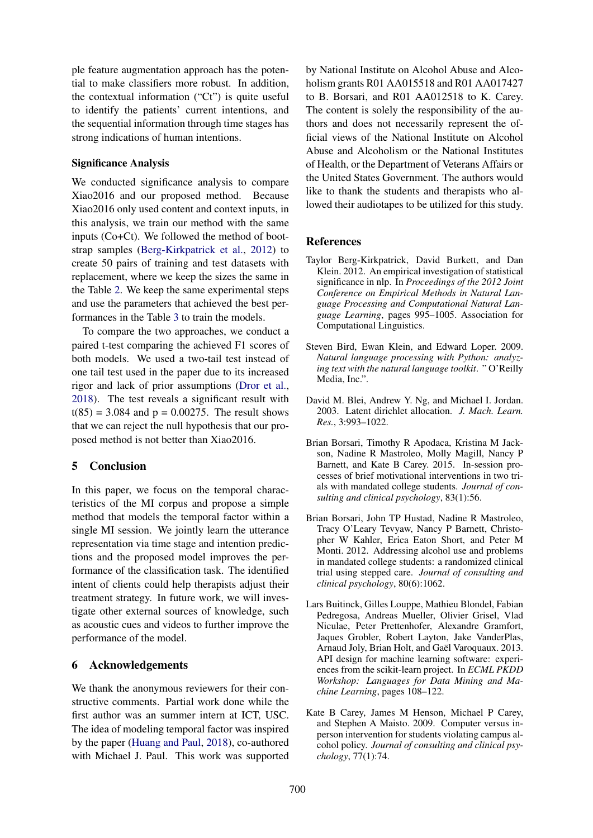ple feature augmentation approach has the potential to make classifiers more robust. In addition, the contextual information ("Ct") is quite useful to identify the patients' current intentions, and the sequential information through time stages has strong indications of human intentions.

#### Significance Analysis

We conducted significance analysis to compare Xiao2016 and our proposed method. Because Xiao2016 only used content and context inputs, in this analysis, we train our method with the same inputs (Co+Ct). We followed the method of bootstrap samples [\(Berg-Kirkpatrick et al.,](#page-4-6) [2012\)](#page-4-6) to create 50 pairs of training and test datasets with replacement, where we keep the sizes the same in the Table [2.](#page-2-1) We keep the same experimental steps and use the parameters that achieved the best performances in the Table [3](#page-3-2) to train the models.

To compare the two approaches, we conduct a paired t-test comparing the achieved F1 scores of both models. We used a two-tail test instead of one tail test used in the paper due to its increased rigor and lack of prior assumptions [\(Dror et al.,](#page-5-19) [2018\)](#page-5-19). The test reveals a significant result with  $t(85) = 3.084$  and  $p = 0.00275$ . The result shows that we can reject the null hypothesis that our proposed method is not better than Xiao2016.

## 5 Conclusion

In this paper, we focus on the temporal characteristics of the MI corpus and propose a simple method that models the temporal factor within a single MI session. We jointly learn the utterance representation via time stage and intention predictions and the proposed model improves the performance of the classification task. The identified intent of clients could help therapists adjust their treatment strategy. In future work, we will investigate other external sources of knowledge, such as acoustic cues and videos to further improve the performance of the model.

## 6 Acknowledgements

We thank the anonymous reviewers for their constructive comments. Partial work done while the first author was an summer intern at ICT, USC. The idea of modeling temporal factor was inspired by the paper [\(Huang and Paul,](#page-5-8) [2018\)](#page-5-8), co-authored with Michael J. Paul. This work was supported

by National Institute on Alcohol Abuse and Alcoholism grants R01 AA015518 and R01 AA017427 to B. Borsari, and R01 AA012518 to K. Carey. The content is solely the responsibility of the authors and does not necessarily represent the official views of the National Institute on Alcohol Abuse and Alcoholism or the National Institutes of Health, or the Department of Veterans Affairs or the United States Government. The authors would like to thank the students and therapists who allowed their audiotapes to be utilized for this study.

## **References**

- <span id="page-4-6"></span>Taylor Berg-Kirkpatrick, David Burkett, and Dan Klein. 2012. An empirical investigation of statistical significance in nlp. In *Proceedings of the 2012 Joint Conference on Empirical Methods in Natural Language Processing and Computational Natural Language Learning*, pages 995–1005. Association for Computational Linguistics.
- <span id="page-4-4"></span>Steven Bird, Ewan Klein, and Edward Loper. 2009. *Natural language processing with Python: analyzing text with the natural language toolkit*. " O'Reilly Media, Inc.".
- <span id="page-4-2"></span>David M. Blei, Andrew Y. Ng, and Michael I. Jordan. 2003. Latent dirichlet allocation. *J. Mach. Learn. Res.*, 3:993–1022.
- <span id="page-4-3"></span>Brian Borsari, Timothy R Apodaca, Kristina M Jackson, Nadine R Mastroleo, Molly Magill, Nancy P Barnett, and Kate B Carey. 2015. In-session processes of brief motivational interventions in two trials with mandated college students. *Journal of consulting and clinical psychology*, 83(1):56.
- <span id="page-4-1"></span>Brian Borsari, John TP Hustad, Nadine R Mastroleo, Tracy O'Leary Tevyaw, Nancy P Barnett, Christopher W Kahler, Erica Eaton Short, and Peter M Monti. 2012. Addressing alcohol use and problems in mandated college students: a randomized clinical trial using stepped care. *Journal of consulting and clinical psychology*, 80(6):1062.
- <span id="page-4-5"></span>Lars Buitinck, Gilles Louppe, Mathieu Blondel, Fabian Pedregosa, Andreas Mueller, Olivier Grisel, Vlad Niculae, Peter Prettenhofer, Alexandre Gramfort, Jaques Grobler, Robert Layton, Jake VanderPlas, Arnaud Joly, Brian Holt, and Gaël Varoquaux. 2013. API design for machine learning software: experiences from the scikit-learn project. In *ECML PKDD Workshop: Languages for Data Mining and Machine Learning*, pages 108–122.
- <span id="page-4-0"></span>Kate B Carey, James M Henson, Michael P Carey, and Stephen A Maisto. 2009. Computer versus inperson intervention for students violating campus alcohol policy. *Journal of consulting and clinical psychology*, 77(1):74.